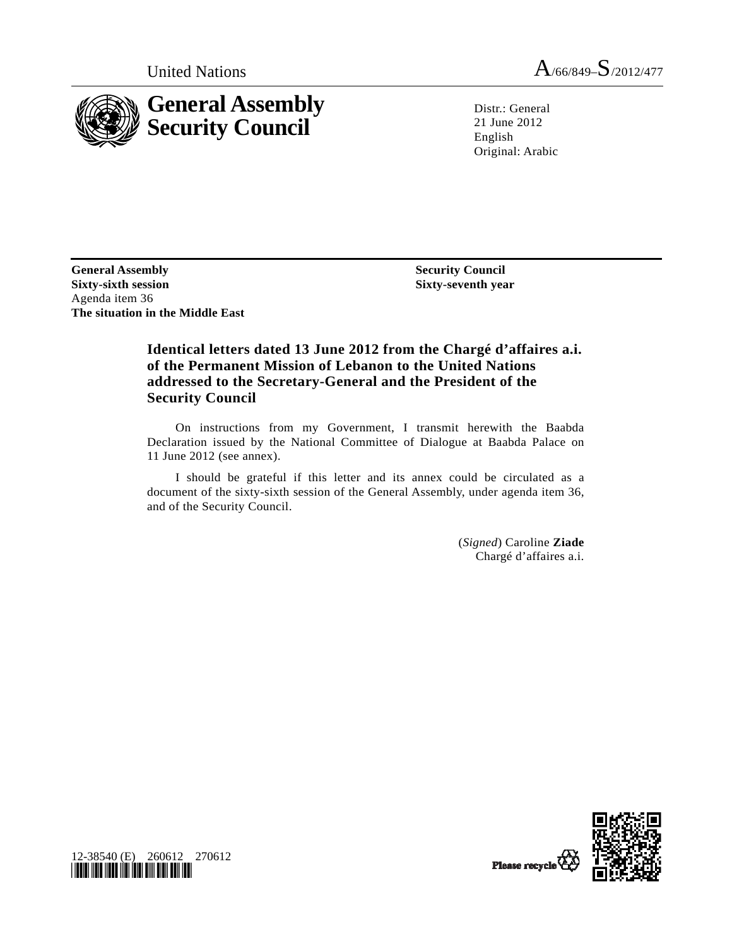

United Nations  $A_{/66/849} - S_{/2012/477}$ 

Distr.: General 21 June 2012 English Original: Arabic

**General Assembly Sixty-sixth session**  Agenda item 36 **The situation in the Middle East** 

 **Security Council Sixty-seventh year** 

## **Identical letters dated 13 June 2012 from the Chargé d'affaires a.i. of the Permanent Mission of Lebanon to the United Nations addressed to the Secretary-General and the President of the Security Council**

 On instructions from my Government, I transmit herewith the Baabda Declaration issued by the National Committee of Dialogue at Baabda Palace on 11 June 2012 (see annex).

 I should be grateful if this letter and its annex could be circulated as a document of the sixty-sixth session of the General Assembly, under agenda item 36, and of the Security Council.

> (*Signed*) Caroline **Ziade** Chargé d'affaires a.i.



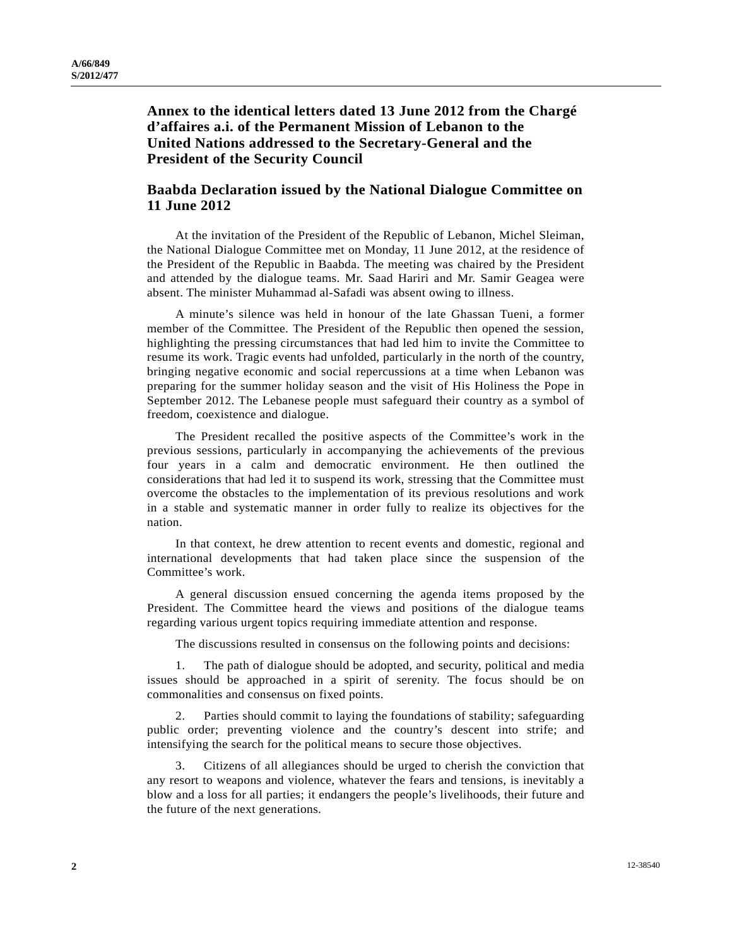**Annex to the identical letters dated 13 June 2012 from the Chargé d'affaires a.i. of the Permanent Mission of Lebanon to the United Nations addressed to the Secretary-General and the President of the Security Council** 

## **Baabda Declaration issued by the National Dialogue Committee on 11 June 2012**

 At the invitation of the President of the Republic of Lebanon, Michel Sleiman, the National Dialogue Committee met on Monday, 11 June 2012, at the residence of the President of the Republic in Baabda. The meeting was chaired by the President and attended by the dialogue teams. Mr. Saad Hariri and Mr. Samir Geagea were absent. The minister Muhammad al-Safadi was absent owing to illness.

 A minute's silence was held in honour of the late Ghassan Tueni, a former member of the Committee. The President of the Republic then opened the session, highlighting the pressing circumstances that had led him to invite the Committee to resume its work. Tragic events had unfolded, particularly in the north of the country, bringing negative economic and social repercussions at a time when Lebanon was preparing for the summer holiday season and the visit of His Holiness the Pope in September 2012. The Lebanese people must safeguard their country as a symbol of freedom, coexistence and dialogue.

 The President recalled the positive aspects of the Committee's work in the previous sessions, particularly in accompanying the achievements of the previous four years in a calm and democratic environment. He then outlined the considerations that had led it to suspend its work, stressing that the Committee must overcome the obstacles to the implementation of its previous resolutions and work in a stable and systematic manner in order fully to realize its objectives for the nation.

 In that context, he drew attention to recent events and domestic, regional and international developments that had taken place since the suspension of the Committee's work.

 A general discussion ensued concerning the agenda items proposed by the President. The Committee heard the views and positions of the dialogue teams regarding various urgent topics requiring immediate attention and response.

The discussions resulted in consensus on the following points and decisions:

The path of dialogue should be adopted, and security, political and media issues should be approached in a spirit of serenity. The focus should be on commonalities and consensus on fixed points.

 2. Parties should commit to laying the foundations of stability; safeguarding public order; preventing violence and the country's descent into strife; and intensifying the search for the political means to secure those objectives.

 3. Citizens of all allegiances should be urged to cherish the conviction that any resort to weapons and violence, whatever the fears and tensions, is inevitably a blow and a loss for all parties; it endangers the people's livelihoods, their future and the future of the next generations.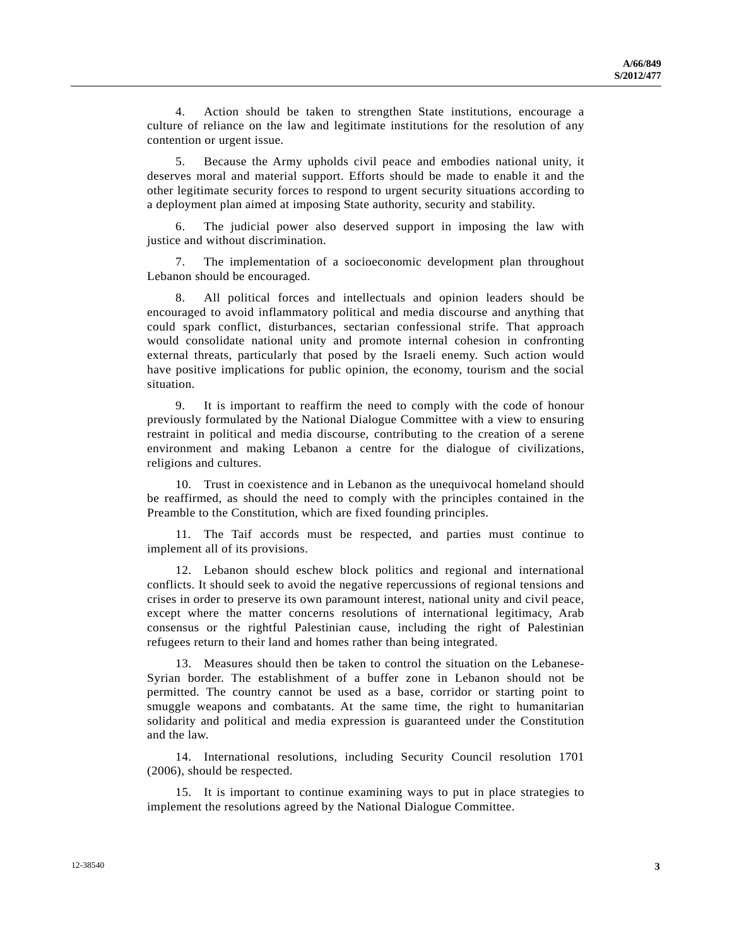4. Action should be taken to strengthen State institutions, encourage a culture of reliance on the law and legitimate institutions for the resolution of any contention or urgent issue.

 5. Because the Army upholds civil peace and embodies national unity, it deserves moral and material support. Efforts should be made to enable it and the other legitimate security forces to respond to urgent security situations according to a deployment plan aimed at imposing State authority, security and stability.

 6. The judicial power also deserved support in imposing the law with justice and without discrimination.

 7. The implementation of a socioeconomic development plan throughout Lebanon should be encouraged.

 8. All political forces and intellectuals and opinion leaders should be encouraged to avoid inflammatory political and media discourse and anything that could spark conflict, disturbances, sectarian confessional strife. That approach would consolidate national unity and promote internal cohesion in confronting external threats, particularly that posed by the Israeli enemy. Such action would have positive implications for public opinion, the economy, tourism and the social situation.

 9. It is important to reaffirm the need to comply with the code of honour previously formulated by the National Dialogue Committee with a view to ensuring restraint in political and media discourse, contributing to the creation of a serene environment and making Lebanon a centre for the dialogue of civilizations, religions and cultures.

 10. Trust in coexistence and in Lebanon as the unequivocal homeland should be reaffirmed, as should the need to comply with the principles contained in the Preamble to the Constitution, which are fixed founding principles.

 11. The Taif accords must be respected, and parties must continue to implement all of its provisions.

 12. Lebanon should eschew block politics and regional and international conflicts. It should seek to avoid the negative repercussions of regional tensions and crises in order to preserve its own paramount interest, national unity and civil peace, except where the matter concerns resolutions of international legitimacy, Arab consensus or the rightful Palestinian cause, including the right of Palestinian refugees return to their land and homes rather than being integrated.

 13. Measures should then be taken to control the situation on the Lebanese-Syrian border. The establishment of a buffer zone in Lebanon should not be permitted. The country cannot be used as a base, corridor or starting point to smuggle weapons and combatants. At the same time, the right to humanitarian solidarity and political and media expression is guaranteed under the Constitution and the law.

 14. International resolutions, including Security Council resolution 1701 (2006), should be respected.

 15. It is important to continue examining ways to put in place strategies to implement the resolutions agreed by the National Dialogue Committee.